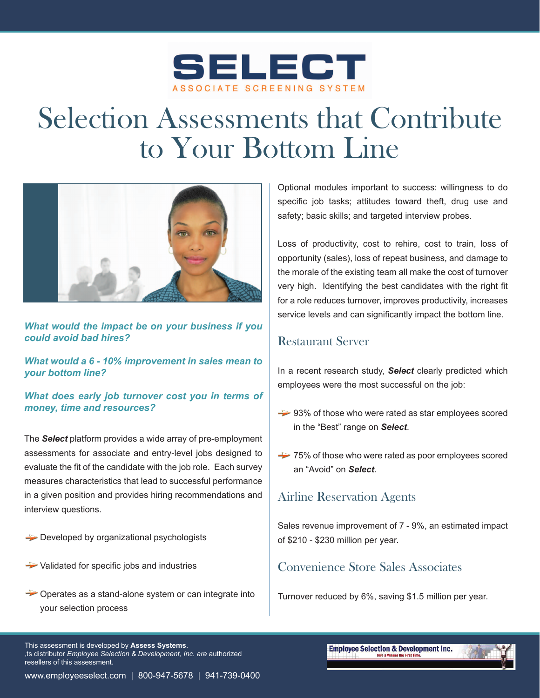

# Selection Assessments that Contribute to Your Bottom Line



*What would the impact be on your business if you could avoid bad hires?*

*What would a 6 - 10% improvement in sales mean to your bottom line?*

*What does early job turnover cost you in terms of money, time and resources?*

The *Select* platform provides a wide array of pre-employment assessments for associate and entry-level jobs designed to evaluate the fit of the candidate with the job role. Each survey measures characteristics that lead to successful performance in a given position and provides hiring recommendations and interview questions.

- $\rightarrow$  Developed by organizational psychologists
- $\rightarrow$  Validated for specific jobs and industries
- Operates as a stand-alone system or can integrate into your selection process

Optional modules important to success: willingness to do specific job tasks; attitudes toward theft, drug use and safety; basic skills; and targeted interview probes.

Loss of productivity, cost to rehire, cost to train, loss of opportunity (sales), loss of repeat business, and damage to the morale of the existing team all make the cost of turnover very high. Identifying the best candidates with the right fit for a role reduces turnover, improves productivity, increases service levels and can significantly impact the bottom line.

### Restaurant Server

In a recent research study, *Select* clearly predicted which employees were the most successful on the job:

- $\rightarrow$  93% of those who were rated as star employees scored in the "Best" range on *Select*.
- $\rightarrow$  75% of those who were rated as poor employees scored an "Avoid" on *Select*.

### Airline Reservation Agents

Sales revenue improvement of 7 - 9%, an estimated impact of \$210 - \$230 million per year.

### Convenience Store Sales Associates

Turnover reduced by 6%, saving \$1.5 million per year.

This assessment is developed by **Assess Systems**. Go distributor *Employee Selection & Development, Inc. are authorized* resellers of this assessment.

```
www.employeeselect.com | 800-947-5678 | 941-739-0400
```
**Employee Selection & Development Inc.**